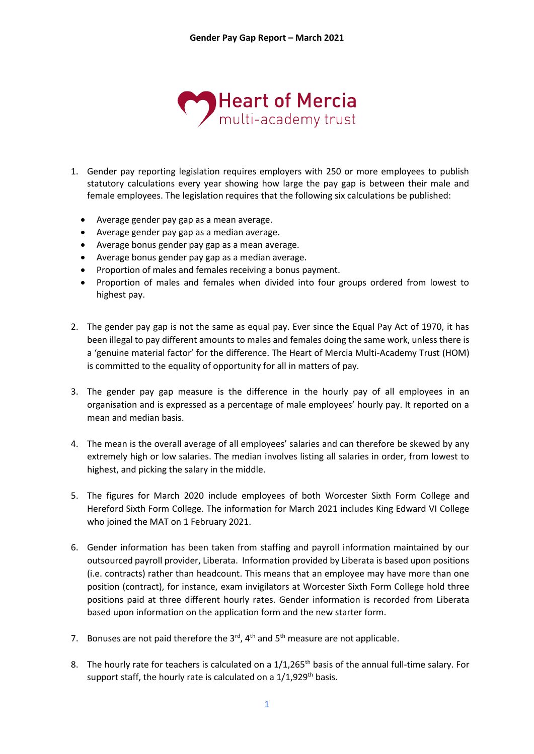

- 1. Gender pay reporting legislation requires employers with 250 or more employees to publish statutory calculations every year showing how large the pay gap is between their male and female employees. The legislation requires that the following six calculations be published:
	- Average gender pay gap as a mean average.
	- Average gender pay gap as a median average.
	- Average bonus gender pay gap as a mean average.
	- Average bonus gender pay gap as a median average.
	- Proportion of males and females receiving a bonus payment.
	- Proportion of males and females when divided into four groups ordered from lowest to highest pay.
- 2. The gender pay gap is not the same as equal pay. Ever since the Equal Pay Act of 1970, it has been illegal to pay different amounts to males and females doing the same work, unless there is a 'genuine material factor' for the difference. The Heart of Mercia Multi-Academy Trust (HOM) is committed to the equality of opportunity for all in matters of pay.
- 3. The gender pay gap measure is the difference in the hourly pay of all employees in an organisation and is expressed as a percentage of male employees' hourly pay. It reported on a mean and median basis.
- 4. The mean is the overall average of all employees' salaries and can therefore be skewed by any extremely high or low salaries. The median involves listing all salaries in order, from lowest to highest, and picking the salary in the middle.
- 5. The figures for March 2020 include employees of both Worcester Sixth Form College and Hereford Sixth Form College. The information for March 2021 includes King Edward VI College who joined the MAT on 1 February 2021.
- 6. Gender information has been taken from staffing and payroll information maintained by our outsourced payroll provider, Liberata. Information provided by Liberata is based upon positions (i.e. contracts) rather than headcount. This means that an employee may have more than one position (contract), for instance, exam invigilators at Worcester Sixth Form College hold three positions paid at three different hourly rates. Gender information is recorded from Liberata based upon information on the application form and the new starter form.
- 7. Bonuses are not paid therefore the  $3<sup>rd</sup>$ , 4<sup>th</sup> and  $5<sup>th</sup>$  measure are not applicable.
- 8. The hourly rate for teachers is calculated on a 1/1,265<sup>th</sup> basis of the annual full-time salary. For support staff, the hourly rate is calculated on a  $1/1,929$ <sup>th</sup> basis.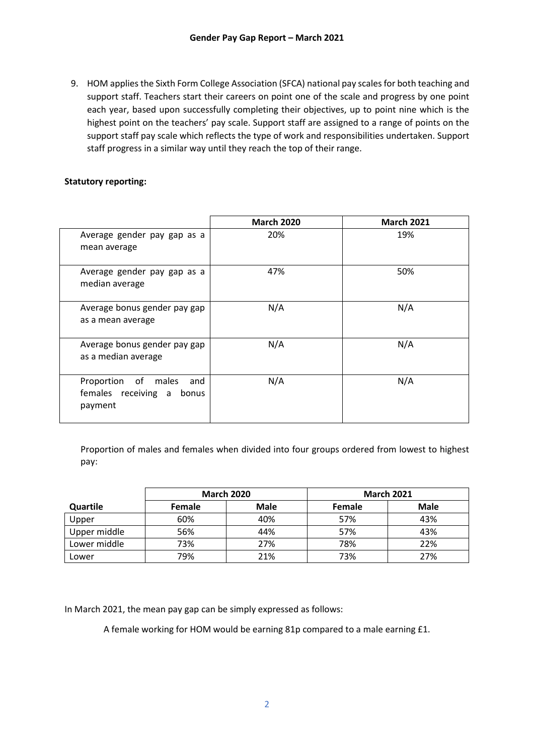9. HOM applies the Sixth Form College Association (SFCA) national pay scales for both teaching and support staff. Teachers start their careers on point one of the scale and progress by one point each year, based upon successfully completing their objectives, up to point nine which is the highest point on the teachers' pay scale. Support staff are assigned to a range of points on the support staff pay scale which reflects the type of work and responsibilities undertaken. Support staff progress in a similar way until they reach the top of their range.

#### **Statutory reporting:**

|                                                                          | <b>March 2020</b> | <b>March 2021</b> |
|--------------------------------------------------------------------------|-------------------|-------------------|
| Average gender pay gap as a<br>mean average                              | 20%               | 19%               |
| Average gender pay gap as a<br>median average                            | 47%               | 50%               |
| Average bonus gender pay gap<br>as a mean average                        | N/A               | N/A               |
| Average bonus gender pay gap<br>as a median average                      | N/A               | N/A               |
| Proportion of<br>males<br>and<br>females receiving a<br>bonus<br>payment | N/A               | N/A               |

Proportion of males and females when divided into four groups ordered from lowest to highest pay:

|              | <b>March 2020</b> |      |        | <b>March 2021</b> |
|--------------|-------------------|------|--------|-------------------|
| Quartile     | <b>Female</b>     | Male | Female | <b>Male</b>       |
| Upper        | 60%               | 40%  | 57%    | 43%               |
| Upper middle | 56%               | 44%  | 57%    | 43%               |
| Lower middle | 73%               | 27%  | 78%    | 22%               |
| Lower        | 79%               | 21%  | 73%    | 27%               |

In March 2021, the mean pay gap can be simply expressed as follows:

A female working for HOM would be earning 81p compared to a male earning £1.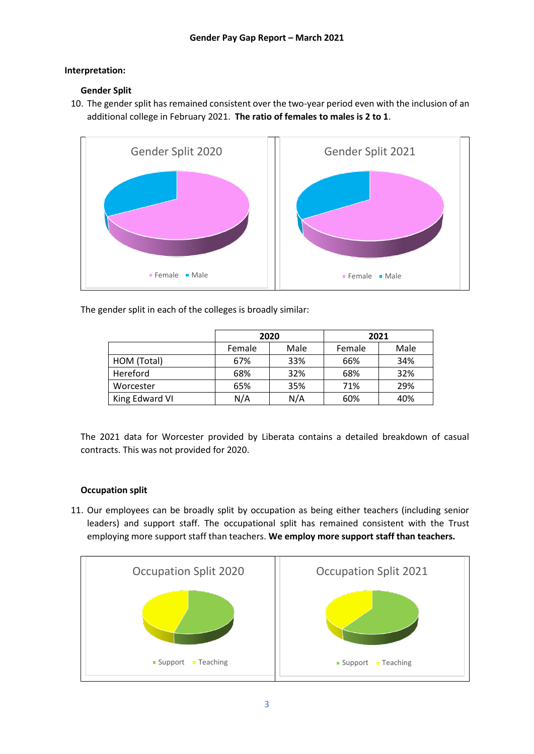### **Interpretation:**

# **Gender Split**

10. The gender split has remained consistent over the two-year period even with the inclusion of an additional college in February 2021. **The ratio of females to males is 2 to 1**.



The gender split in each of the colleges is broadly similar:

|                | 2020           |     | 2021   |      |
|----------------|----------------|-----|--------|------|
|                | Male<br>Female |     | Female | Male |
| HOM (Total)    | 67%            | 33% | 66%    | 34%  |
| Hereford       | 68%            | 32% | 68%    | 32%  |
| Worcester      | 65%            | 35% | 71%    | 29%  |
| King Edward VI | N/A            | N/A | 60%    | 40%  |

The 2021 data for Worcester provided by Liberata contains a detailed breakdown of casual contracts. This was not provided for 2020.

# **Occupation split**

11. Our employees can be broadly split by occupation as being either teachers (including senior leaders) and support staff. The occupational split has remained consistent with the Trust employing more support staff than teachers. **We employ more support staff than teachers.**

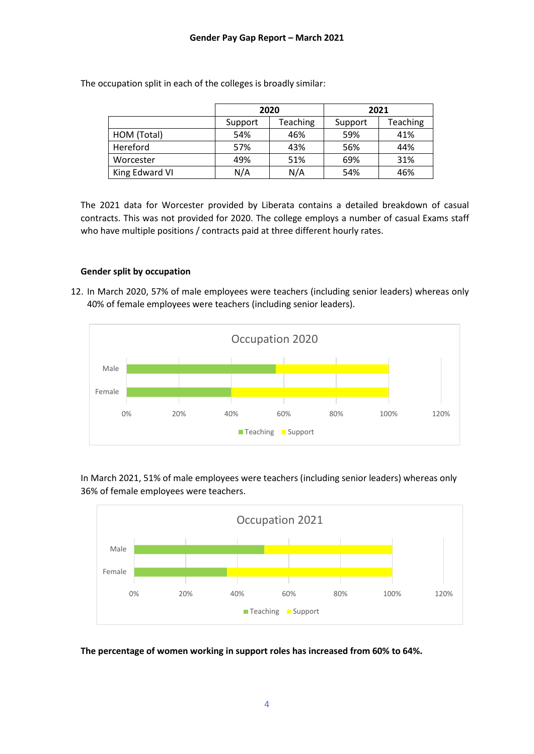|                |                     | 2020 | 2021    |          |  |
|----------------|---------------------|------|---------|----------|--|
|                | Teaching<br>Support |      | Support | Teaching |  |
| HOM (Total)    | 54%                 | 46%  | 59%     | 41%      |  |
| Hereford       | 57%<br>43%          |      | 56%     | 44%      |  |
| Worcester      | 49%                 | 51%  | 69%     | 31%      |  |
| King Edward VI | N/A                 | N/A  | 54%     | 46%      |  |

The occupation split in each of the colleges is broadly similar:

The 2021 data for Worcester provided by Liberata contains a detailed breakdown of casual contracts. This was not provided for 2020. The college employs a number of casual Exams staff who have multiple positions / contracts paid at three different hourly rates.

#### **Gender split by occupation**

12. In March 2020, 57% of male employees were teachers (including senior leaders) whereas only 40% of female employees were teachers (including senior leaders).



In March 2021, 51% of male employees were teachers (including senior leaders) whereas only 36% of female employees were teachers.



**The percentage of women working in support roles has increased from 60% to 64%.**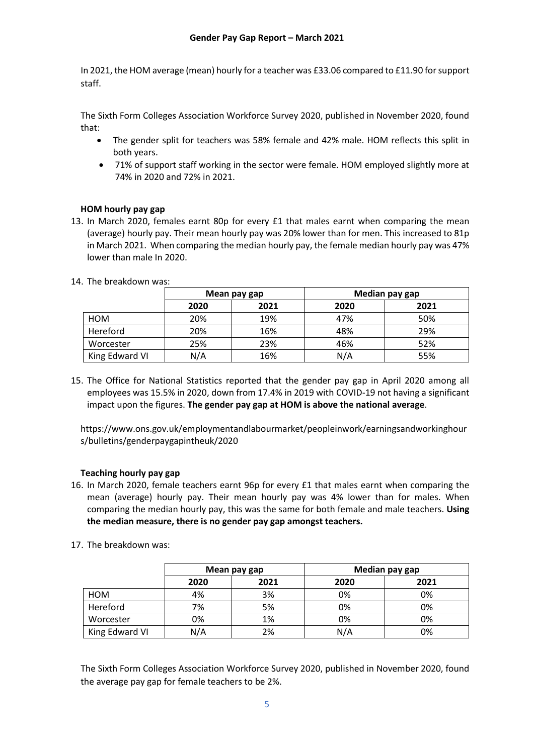In 2021, the HOM average (mean) hourly for a teacher was £33.06 compared to £11.90 for support staff.

The Sixth Form Colleges Association Workforce Survey 2020, published in November 2020, found that:

- The gender split for teachers was 58% female and 42% male. HOM reflects this split in both years.
- 71% of support staff working in the sector were female. HOM employed slightly more at 74% in 2020 and 72% in 2021.

# **HOM hourly pay gap**

13. In March 2020, females earnt 80p for every £1 that males earnt when comparing the mean (average) hourly pay. Their mean hourly pay was 20% lower than for men. This increased to 81p in March 2021. When comparing the median hourly pay, the female median hourly pay was 47% lower than male In 2020.

|                |      | Mean pay gap | Median pay gap |      |  |
|----------------|------|--------------|----------------|------|--|
|                | 2020 | 2021         | 2020           | 2021 |  |
| HOM            | 20%  | 19%          | 47%            | 50%  |  |
| Hereford       | 20%  | 16%          | 48%            | 29%  |  |
| Worcester      | 25%  | 23%          | 46%            | 52%  |  |
| King Edward VI | N/A  | 16%          | N/A            | 55%  |  |

14. The breakdown was:

15. The Office for National Statistics reported that the gender pay gap in April 2020 among all employees was 15.5% in 2020, down from 17.4% in 2019 with COVID-19 not having a significant impact upon the figures. **The gender pay gap at HOM is above the national average**.

https://www.ons.gov.uk/employmentandlabourmarket/peopleinwork/earningsandworkinghour s/bulletins/genderpaygapintheuk/2020

# **Teaching hourly pay gap**

- 16. In March 2020, female teachers earnt 96p for every £1 that males earnt when comparing the mean (average) hourly pay. Their mean hourly pay was 4% lower than for males. When comparing the median hourly pay, this was the same for both female and male teachers. **Using the median measure, there is no gender pay gap amongst teachers.**
- 17. The breakdown was:

|                |      | Mean pay gap | Median pay gap |      |  |
|----------------|------|--------------|----------------|------|--|
|                | 2020 | 2021         | 2020           | 2021 |  |
| HOM            | 4%   | 3%           | 0%             | 0%   |  |
| Hereford       | 7%   | 5%           | 0%             | 0%   |  |
| Worcester      | 0%   | 1%           | 0%             | 0%   |  |
| King Edward VI | N/A  | 2%           | N/A            | 0%   |  |

The Sixth Form Colleges Association Workforce Survey 2020, published in November 2020, found the average pay gap for female teachers to be 2%.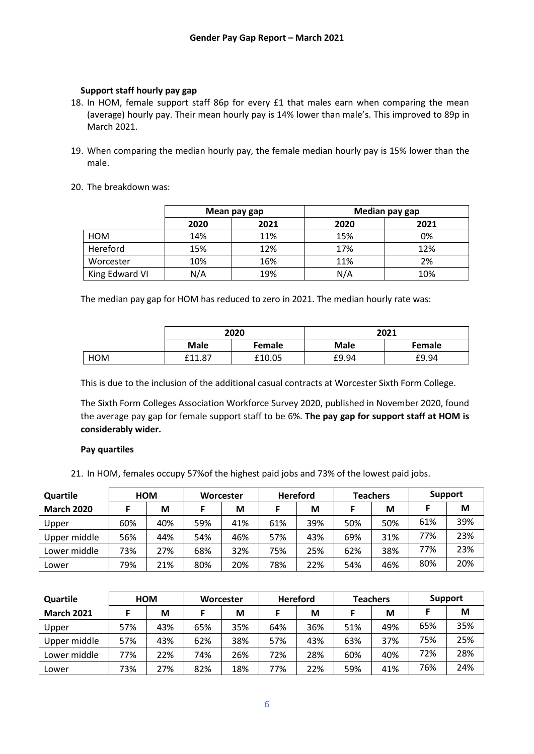### **Support staff hourly pay gap**

- 18. In HOM, female support staff 86p for every £1 that males earn when comparing the mean (average) hourly pay. Their mean hourly pay is 14% lower than male's. This improved to 89p in March 2021.
- 19. When comparing the median hourly pay, the female median hourly pay is 15% lower than the male.
- 20. The breakdown was:

|                |      | Mean pay gap | Median pay gap |      |  |
|----------------|------|--------------|----------------|------|--|
|                | 2020 | 2021         | 2020           | 2021 |  |
| HOM            | 14%  | 11%          | 15%            | 0%   |  |
| Hereford       | 15%  | 12%          | 17%            | 12%  |  |
| Worcester      | 10%  | 16%          | 11%            | 2%   |  |
| King Edward VI | N/A  | 19%          | N/A            | 10%  |  |

The median pay gap for HOM has reduced to zero in 2021. The median hourly rate was:

|     |             | 2020          | 2021        |               |  |
|-----|-------------|---------------|-------------|---------------|--|
|     | <b>Male</b> | <b>Female</b> | <b>Male</b> | <b>Female</b> |  |
| HOM | £11.87      | £10.05        | £9.94       | £9.94         |  |

This is due to the inclusion of the additional casual contracts at Worcester Sixth Form College.

The Sixth Form Colleges Association Workforce Survey 2020, published in November 2020, found the average pay gap for female support staff to be 6%. **The pay gap for support staff at HOM is considerably wider.**

#### **Pay quartiles**

21. In HOM, females occupy 57%of the highest paid jobs and 73% of the lowest paid jobs.

| Quartile          |     | <b>HOM</b> |     | Worcester |     | <b>Hereford</b> |     | <b>Teachers</b> |     | <b>Support</b> |
|-------------------|-----|------------|-----|-----------|-----|-----------------|-----|-----------------|-----|----------------|
| <b>March 2020</b> |     | М          |     | М         |     | M               |     | М               |     | M              |
| Upper             | 60% | 40%        | 59% | 41%       | 61% | 39%             | 50% | 50%             | 61% | 39%            |
| Upper middle      | 56% | 44%        | 54% | 46%       | 57% | 43%             | 69% | 31%             | 77% | 23%            |
| Lower middle      | 73% | 27%        | 68% | 32%       | 75% | 25%             | 62% | 38%             | 77% | 23%            |
| Lower             | 79% | 21%        | 80% | 20%       | 78% | 22%             | 54% | 46%             | 80% | 20%            |

| Quartile          |     | ном |     | Worcester |     | <b>Hereford</b> |     | <b>Teachers</b> | Support |     |
|-------------------|-----|-----|-----|-----------|-----|-----------------|-----|-----------------|---------|-----|
| <b>March 2021</b> |     | М   |     | М         |     | М               |     | М               |         | М   |
| Upper             | 57% | 43% | 65% | 35%       | 64% | 36%             | 51% | 49%             | 65%     | 35% |
| Upper middle      | 57% | 43% | 62% | 38%       | 57% | 43%             | 63% | 37%             | 75%     | 25% |
| Lower middle      | 77% | 22% | 74% | 26%       | 72% | 28%             | 60% | 40%             | 72%     | 28% |
| Lower             | 73% | 27% | 82% | 18%       | 77% | 22%             | 59% | 41%             | 76%     | 24% |